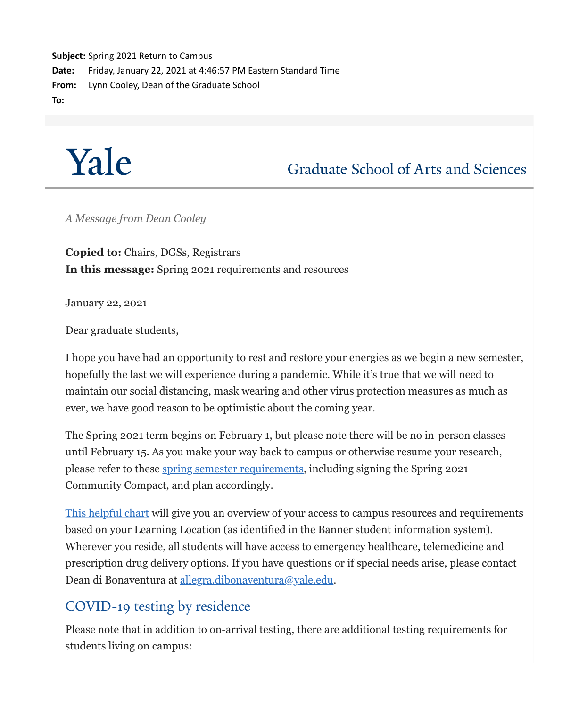**Subject:** Spring 2021 Return to Campus **Date:** Friday, January 22, 2021 at 4:46:57 PM Eastern Standard Time **From:** Lynn Cooley, Dean of the Graduate School **To:**



Graduate School of Arts and Sciences

*A Message from Dean Cooley*

**Copied to:** Chairs, DGSs, Registrars **In this message:** Spring 2021 requirements and resources

January 22, 2021

Dear graduate students,

I hope you have had an opportunity to rest and restore your energies as we begin a new semester, hopefully the last we will experience during a pandemic. While it's true that we will need to maintain our social distancing, mask wearing and other virus protection measures as much as ever, we have good reason to be optimistic about the coming year.

The Spring 2021 term begins on February 1, but please note there will be no in-person classes until February 15. As you make your way back to campus or otherwise resume your research, please refer to these [spring semester requirements](https://click.message.yale.edu/?qs=d449fa787f8ece0fa15c59e86d34fbe89ebd436d8063ed516ffd099fef7ad69b614d3152af204ea5cc9bfa7d42c7088955a476ee1d9199c8), including signing the Spring 2021 Community Compact, and plan accordingly.

[This helpful chart](https://click.message.yale.edu/?qs=d449fa787f8ece0fc75d4843a5c1408aded7af699f37b3ced8cf8577f1000dd891543f9be536e4c4cd0ee77e4d0ffe1900de590d2776fabf) will give you an overview of your access to campus resources and requirements based on your Learning Location (as identified in the Banner student information system). Wherever you reside, all students will have access to emergency healthcare, telemedicine and prescription drug delivery options. If you have questions or if special needs arise, please contact Dean di Bonaventura at [allegra.dibonaventura@yale.edu](mailto:allegra.dibonaventura@yale.edu).

# COVID-19 testing by residence

Please note that in addition to on-arrival testing, there are additional testing requirements for students living on campus: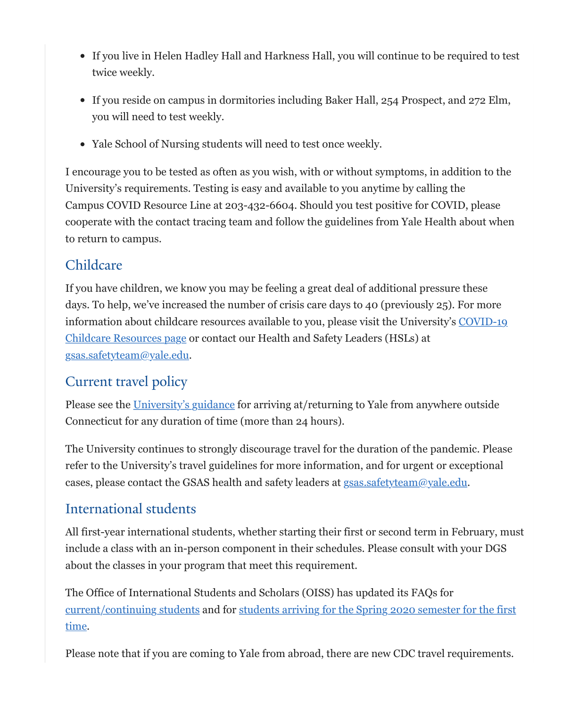- If you live in Helen Hadley Hall and Harkness Hall, you will continue to be required to test twice weekly.
- If you reside on campus in dormitories including Baker Hall, 254 Prospect, and 272 Elm, you will need to test weekly.
- Yale School of Nursing students will need to test once weekly.

I encourage you to be tested as often as you wish, with or without symptoms, in addition to the University's requirements. Testing is easy and available to you anytime by calling the Campus COVID Resource Line at 203-432-6604. Should you test positive for COVID, please cooperate with the contact tracing team and follow the guidelines from Yale Health about when to return to campus.

### Childcare

If you have children, we know you may be feeling a great deal of additional pressure these days. To help, we've increased the number of crisis care days to 40 (previously 25). For more [information about childcare resources available to you, please visit the University's COVID-19](https://click.message.yale.edu/?qs=d449fa787f8ece0f31f81332524d2c8805697d507346ea6b7958c134651a5177bcd62d50fd71aef8ae46661d31435dd7cdaf5f5d410330da) Childcare Resources page or contact our Health and Safety Leaders (HSLs) at [gsas.safetyteam@yale.edu.](mailto:gsas.safetyteam@yale.edu)

# Current travel policy

Please see the [University's guidance](https://click.message.yale.edu/?qs=d449fa787f8ece0fbdbab7a6257b748555c24bd953733d15df29778756f549c08555c754ecca59517a440ffef5577442626fde68b84eecd0) for arriving at/returning to Yale from anywhere outside Connecticut for any duration of time (more than 24 hours).

The University continues to strongly discourage travel for the duration of the pandemic. Please refer to the University's travel guidelines for more information, and for urgent or exceptional cases, please contact the GSAS health and safety leaders at [gsas.safetyteam@yale.edu](mailto:gsas.safetyteam@yale.edu).

### International students

All first-year international students, whether starting their first or second term in February, must include a class with an in-person component in their schedules. Please consult with your DGS about the classes in your program that meet this requirement.

The Office of International Students and Scholars (OISS) has updated its FAQs for [current/continuing students](https://click.message.yale.edu/?qs=d449fa787f8ece0f3382f6cae961b41a1308ae13dab7004a31dcbf26477c765b39088325a9b68e4dbc9a853a9edbcde11b8c39ed5f37fe8d) [and for students arriving for the Spring 2020 semester for the first](https://click.message.yale.edu/?qs=d449fa787f8ece0ffdb1c55daf30d5e15013896d0f48996113420d7a5f469d72bc2a030f2fd91f9669a0d13e38f147b08594ad5007d0c8fa) time.

Please note that if you are coming to Yale from abroad, there are new CDC travel requirements.